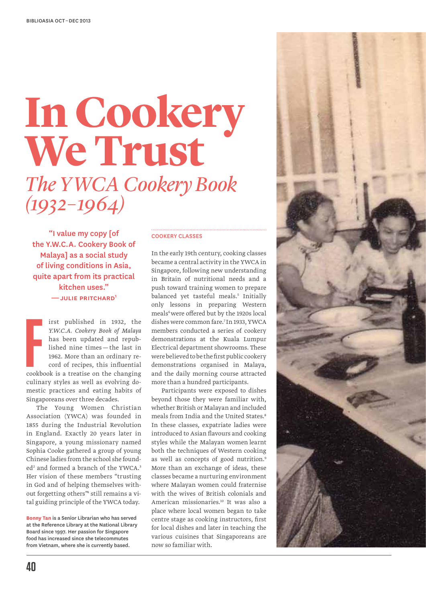# *The YWCA Cookery Book (1932–1964)* **In Cookery We Trust**

"I value my copy [of the Y.W.C.A. Cookery Book of Malaya] as a social study of living conditions in Asia, quite apart from its practical kitchen uses." — julie pritchard1

**F** irst published in 1932, the *Y.W.C.A. Cookery Book of Malaya* has been updated and republished nine times — the last in 1962. More than an ordinary record of recipes, this influential cookbook is a treatise on the changing culinary styles as well as evolving domestic practices and eating habits of Singaporeans over three decades.

The Young Women Christian Association (YWCA) was founded in 1855 during the Industrial Revolution in England. Exactly 20 years later in Singapore, a young missionary named Sophia Cooke gathered a group of young Chinese ladies from the school she founded<sup>2</sup> and formed a branch of the YWCA.<sup>3</sup> Her vision of these members "trusting in God and of helping themselves without forgetting others"4 still remains a vital guiding principle of the YWCA today.

**Bonny Tan** is a Senior Librarian who has served at the Reference Library at the National Library Board since 1997. Her passion for Singapore food has increased since she telecommutes from Vietnam, where she is currently based.

# Cookery Classes

In the early 19th century, cooking classes became a central activity in the YWCA in Singapore, following new understanding in Britain of nutritional needs and a push toward training women to prepare balanced yet tasteful meals.<sup>5</sup> Initially only lessons in preparing Western meals<sup>6</sup> were offered but by the 1920s local dishes were common fare.7 In 1933, YWCA members conducted a series of cookery demonstrations at the Kuala Lumpur Electrical department showrooms. These were believed to be the first public cookery demonstrations organised in Malaya, and the daily morning course attracted more than a hundred participants.

Participants were exposed to dishes beyond those they were familiar with, whether British or Malayan and included meals from India and the United States.<sup>8</sup> In these classes, expatriate ladies were introduced to Asian flavours and cooking styles while the Malayan women learnt both the techniques of Western cooking as well as concepts of good nutrition.<sup>9</sup> More than an exchange of ideas, these classes became a nurturing environment where Malayan women could fraternise with the wives of British colonials and American missionaries.<sup>10</sup> It was also a place where local women began to take centre stage as cooking instructors, first for local dishes and later in teaching the various cuisines that Singaporeans are now so familiar with.

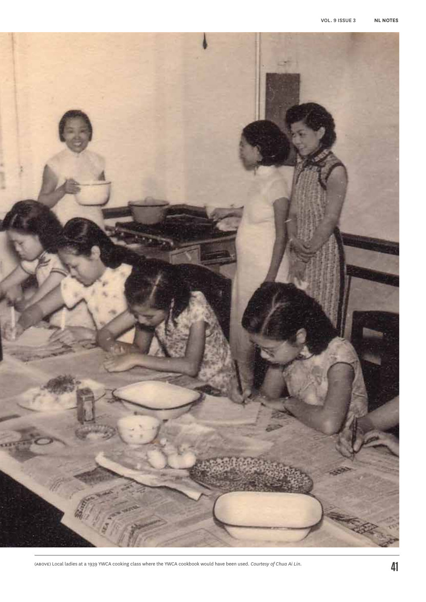

(above) Local ladies at a 1939 YWCA cooking class where the YWCA cookbook would have been used. *Courtesy of Chua Ai Lin.*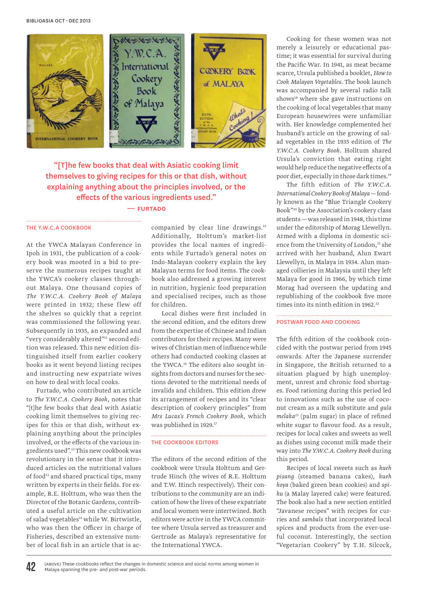

"[T]he few books that deal with Asiatic cooking limit themselves to giving recipes for this or that dish, without explaining anything about the principles involved, or the effects of the various ingredients used."

# — furtado

### the y.w.c.a cookbook

At the YWCA Malayan Conference in Ipoh in 1931, the publication of a cookery book was mooted in a bid to preserve the numerous recipes taught at the YWCA's cookery classes throughout Malaya. One thousand copies of *The Y.W.C.A. Cookery Book of Malaya* were printed in 1932; these flew off the shelves so quickly that a reprint was commissioned the following year. Subsequently in 1935, an expanded and "very considerably altered"11 second edition was released. This new edition distinguished itself from earlier cookery books as it went beyond listing recipes and instructing new expatriate wives on how to deal with local cooks.

Furtado, who contributed an article to *The Y.W.C.A. Cookery Book*, notes that "[t]he few books that deal with Asiatic cooking limit themselves to giving recipes for this or that dish, without explaining anything about the principles involved, or the effects of the various ingredients used".12 This new cookbook was revolutionary in the sense that it introduced articles on the nutritional values of food<sup>13</sup> and shared practical tips, many written by experts in their fields. For example, R.E. Holttum, who was then the Director of the Botanic Gardens, contributed a useful article on the cultivation of salad vegetables<sup>14</sup> while W. Birtwistle, who was then the Officer in charge of Fisheries, described an extensive number of local fish in an article that is accompanied by clear line drawings.<sup>15</sup> Additionally, Holttum's market-list provides the local names of ingredients while Furtado's general notes on Indo-Malayan cookery explain the key Malayan terms for food items. The cookbook also addressed a growing interest in nutrition, hygienic food preparation and specialised recipes, such as those for children.

Local dishes were first included in the second edition, and the editors drew from the expertise of Chinese and Indian contributors for their recipes. Many were wives of Christian men of influence while others had conducted cooking classes at the YWCA.<sup>16</sup> The editors also sought insights from doctors and nurses for the sections devoted to the nutritional needs of invalids and children. This edition drew its arrangement of recipes and its "clear description of cookery principles" from *Mrs Lucas's French Cookery Book*, which was published in 1929.<sup>17</sup>

# the Cookbook Editors

The editors of the second edition of the cookbook were Ursula Holttum and Gertrude Hinch (the wives of R.E. Holttum and T.W. Hinch respectively). Their contributions to the community are an indication of how the lives of these expatriate and local women were intertwined. Both editors were active in the YWCA committee where Ursula served as treasurer and Gertrude as Malaya's representative for the International YWCA.

Cooking for these women was not merely a leisurely or educational pastime; it was essential for survival during the Pacific War. In 1941, as meat became scarce, Ursula published a booklet, *How to Cook Malayan Vegetables*. The book launch was accompanied by several radio talk shows<sup>18</sup> where she gave instructions on the cooking of local vegetables that many European housewives were unfamiliar with. Her knowledge complemented her husband's article on the growing of salad vegetables in the 1935 edition of *The Y.W.C.A. Cookery Book*. Holltum shared Ursula's conviction that eating right would help reduce the negative effects of a poor diet, especially in those dark times.<sup>19</sup>

The fifth edition of *The Y.W.C.A. International Cookery Book of Malaya*—fondly known as the "Blue Triangle Cookery Book"20 by the Association's cookery class students—was released in 1948, this time under the editorship of Morag Llewellyn. Armed with a diploma in domestic science from the University of London,<sup>21</sup> she arrived with her husband, Alun Ewart Llewellyn, in Malaya in 1934. Alun managed collieries in Malaysia until they left Malaya for good in 1966, by which time Morag had overseen the updating and republishing of the cookbook five more times into its ninth edition in 1962.<sup>22</sup>

## Postwar Food and Cooking

The fifth edition of the cookbook coincided with the postwar period from 1945 onwards*.* After the Japanese surrender in Singapore, the British returned to a situation plagued by high unemployment, unrest and chronic food shortages. Food rationing during this period led to innovations such as the use of coconut cream as a milk substitute and *gula melaka*23 (palm sugar) in place of refined white sugar to flavour food. As a result, recipes for local cakes and sweets as well as dishes using coconut milk made their way into *The Y.W.C.A. Cookery Book* during this period.

Recipes of local sweets such as *kueh pisang* (steamed banana cakes), *kueh koya* (baked green bean cookies) and *spiku* (a Malay layered cake) were featured. The book also had a new section entitled "Javanese recipes" with recipes for curries and *sambals* that incorporated local spices and products from the ever-useful coconut. Interestingly, the section "Vegetarian Cookery" by T. H. Silcock,